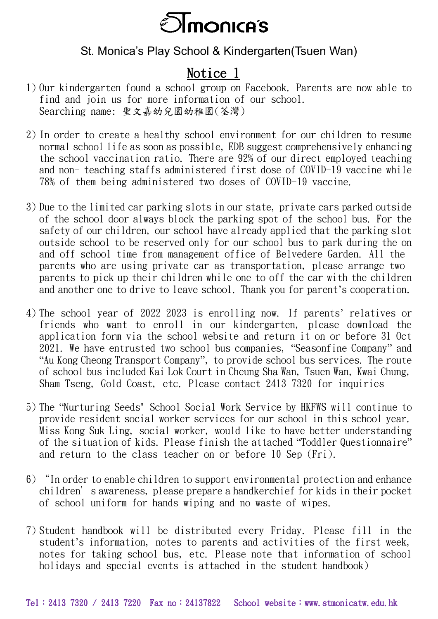

## St. Monica's Play School & Kindergarten(Tsuen Wan)

## Notice 1

- 1) Our kindergarten found a school group on Facebook. Parents are now able to find and join us for more information of our school. Searching name: 聖文嘉幼兒園幼稚園(荃灣)
- 2) In order to create a healthy school environment for our children to resume normal school life as soon as possible, EDB suggest comprehensively enhancing the school vaccination ratio. There are 92% of our direct employed teaching and non- teaching staffs administered first dose of COVID-19 vaccine while 78% of them being administered two doses of COVID-19 vaccine.
- 3) Due to the limited car parking slots in our state, private cars parked outside of the school door always block the parking spot of the school bus. For the safety of our children, our school have already applied that the parking slot outside school to be reserved only for our school bus to park during the on and off school time from management office of Belvedere Garden. All the parents who are using private car as transportation, please arrange two parents to pick up their children while one to off the car with the children and another one to drive to leave school. Thank you for parent's cooperation.
- 4) The school year of 2022-2023 is enrolling now. If parents' relatives or friends who want to enroll in our kindergarten, please download the application form via the school website and return it on or before 31 Oct 2021. We have entrusted two school bus companies, "Seasonfine Company" and "Au Kong Cheong Transport Company", to provide school bus services. The route of school bus included Kai Lok Court in Cheung Sha Wan, Tsuen Wan, Kwai Chung, Sham Tseng, Gold Coast, etc. Please contact 2413 7320 for inquiries
- 5) The "Nurturing Seeds" School Social Work Service by HKFWS will continue to provide resident social worker services for our school in this school year. Miss Kong Suk Ling, social worker, would like to have better understanding of the situation of kids. Please finish the attached "Toddler Questionnaire" and return to the class teacher on or before 10 Sep (Fri).
- 6) "In order to enable children to support environmental protection and enhance children's awareness, please prepare a handkerchief for kids in their pocket of school uniform for hands wiping and no waste of wipes.
- 7) Student handbook will be distributed every Friday. Please fill in the student's information, notes to parents and activities of the first week, notes for taking school bus, etc. Please note that information of school holidays and special events is attached in the student handbook)